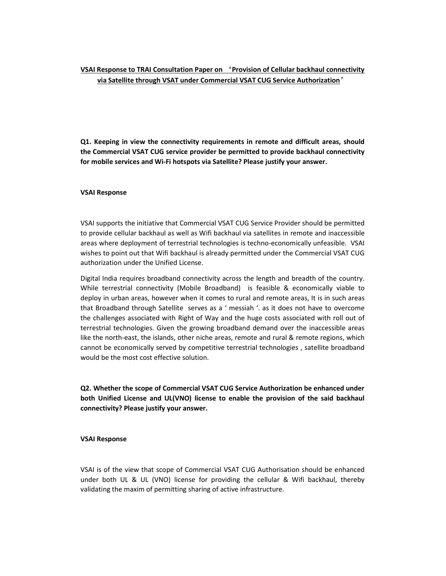VSAI Response to TRAI Consultation Paper on 'Provision of Cellular backhaul connectivity via Satellite through VSAT under Commercial VSAT CUG Service Authorization'

Q1. Keeping in view the connectivity requirements in remote and difficult areas, should the Commercial VSAT CUG service provider be permitted to provide backhaul connectivity for mobile services and Wi-Fi hotspots via Satellite? Please justify your answer.

## VSAI Response

VSAI supports the initiative that Commercial VSAT CUG Service Provider should be permitted to provide cellular backhaul as well as Wifi backhaul via satellites in remote and inaccessible areas where deployment of terrestrial technologies is techno-economically unfeasible. VSAI wishes to point out that Wifi backhaul is already permitted under the Commercial VSAT CUG authorization under the Unified License.

Digital India requires broadband connectivity across the length and breadth of the country. While terrestrial connectivity (Mobile Broadband) is feasible & economically viable to deploy in urban areas, however when it comes to rural and remote areas, It is in such areas that Broadband through Satellite serves as a ' messiah '. as it does not have to overcome the challenges associated with Right of Way and the huge costs associated with roll out of terrestrial technologies. Given the growing broadband demand over the inaccessible areas like the north-east, the islands, other niche areas, remote and rural & remote regions, which cannot be economically served by competitive terrestrial technologies , satellite broadband would be the most cost effective solution.

Q2. Whether the scope of Commercial VSAT CUG Service Authorization be enhanced under both Unified License and UL(VNO) license to enable the provision of the said backhaul connectivity? Please justify your answer.

#### VSAI Response

VSAI is of the view that scope of Commercial VSAT CUG Authorisation should be enhanced under both UL & UL (VNO) license for providing the cellular & Wifi backhaul, thereby validating the maxim of permitting sharing of active infrastructure.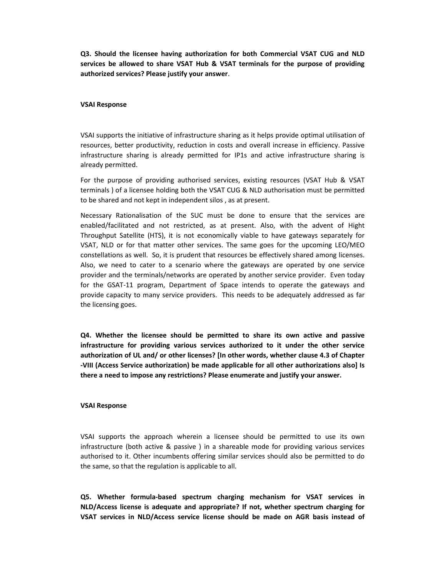Q3. Should the licensee having authorization for both Commercial VSAT CUG and NLD services be allowed to share VSAT Hub & VSAT terminals for the purpose of providing authorized services? Please justify your answer.

### VSAI Response

VSAI supports the initiative of infrastructure sharing as it helps provide optimal utilisation of resources, better productivity, reduction in costs and overall increase in efficiency. Passive infrastructure sharing is already permitted for IP1s and active infrastructure sharing is already permitted.

For the purpose of providing authorised services, existing resources (VSAT Hub & VSAT terminals ) of a licensee holding both the VSAT CUG & NLD authorisation must be permitted to be shared and not kept in independent silos , as at present.

Necessary Rationalisation of the SUC must be done to ensure that the services are enabled/facilitated and not restricted, as at present. Also, with the advent of Hight Throughput Satellite (HTS), it is not economically viable to have gateways separately for VSAT, NLD or for that matter other services. The same goes for the upcoming LEO/MEO constellations as well. So, it is prudent that resources be effectively shared among licenses. Also, we need to cater to a scenario where the gateways are operated by one service provider and the terminals/networks are operated by another service provider. Even today for the GSAT-11 program, Department of Space intends to operate the gateways and provide capacity to many service providers. This needs to be adequately addressed as far the licensing goes.

Q4. Whether the licensee should be permitted to share its own active and passive infrastructure for providing various services authorized to it under the other service authorization of UL and/ or other licenses? [In other words, whether clause 4.3 of Chapter -VIII (Access Service authorization) be made applicable for all other authorizations also] Is there a need to impose any restrictions? Please enumerate and justify your answer.

### VSAI Response

VSAI supports the approach wherein a licensee should be permitted to use its own infrastructure (both active & passive ) in a shareable mode for providing various services authorised to it. Other incumbents offering similar services should also be permitted to do the same, so that the regulation is applicable to all.

Q5. Whether formula-based spectrum charging mechanism for VSAT services in NLD/Access license is adequate and appropriate? If not, whether spectrum charging for VSAT services in NLD/Access service license should be made on AGR basis instead of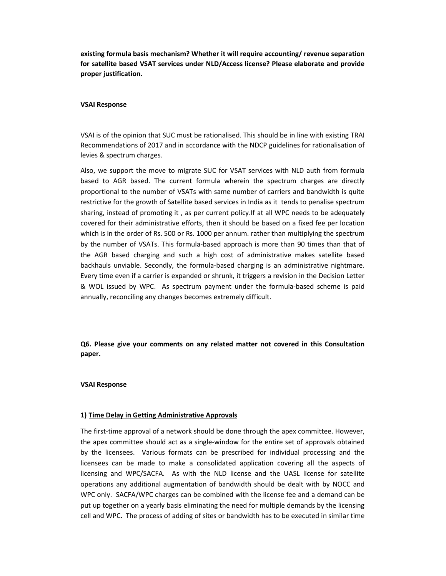existing formula basis mechanism? Whether it will require accounting/ revenue separation for satellite based VSAT services under NLD/Access license? Please elaborate and provide proper justification.

# VSAI Response

VSAI is of the opinion that SUC must be rationalised. This should be in line with existing TRAI Recommendations of 2017 and in accordance with the NDCP guidelines for rationalisation of levies & spectrum charges.

Also, we support the move to migrate SUC for VSAT services with NLD auth from formula based to AGR based. The current formula wherein the spectrum charges are directly proportional to the number of VSATs with same number of carriers and bandwidth is quite restrictive for the growth of Satellite based services in India as it tends to penalise spectrum sharing, instead of promoting it , as per current policy.If at all WPC needs to be adequately covered for their administrative efforts, then it should be based on a fixed fee per location which is in the order of Rs. 500 or Rs. 1000 per annum. rather than multiplying the spectrum by the number of VSATs. This formula-based approach is more than 90 times than that of the AGR based charging and such a high cost of administrative makes satellite based backhauls unviable. Secondly, the formula-based charging is an administrative nightmare. Every time even if a carrier is expanded or shrunk, it triggers a revision in the Decision Letter & WOL issued by WPC. As spectrum payment under the formula-based scheme is paid annually, reconciling any changes becomes extremely difficult.

Q6. Please give your comments on any related matter not covered in this Consultation paper.

## VSAI Response

## 1) Time Delay in Getting Administrative Approvals

The first-time approval of a network should be done through the apex committee. However, the apex committee should act as a single-window for the entire set of approvals obtained by the licensees. Various formats can be prescribed for individual processing and the licensees can be made to make a consolidated application covering all the aspects of licensing and WPC/SACFA. As with the NLD license and the UASL license for satellite operations any additional augmentation of bandwidth should be dealt with by NOCC and WPC only. SACFA/WPC charges can be combined with the license fee and a demand can be put up together on a yearly basis eliminating the need for multiple demands by the licensing cell and WPC. The process of adding of sites or bandwidth has to be executed in similar time